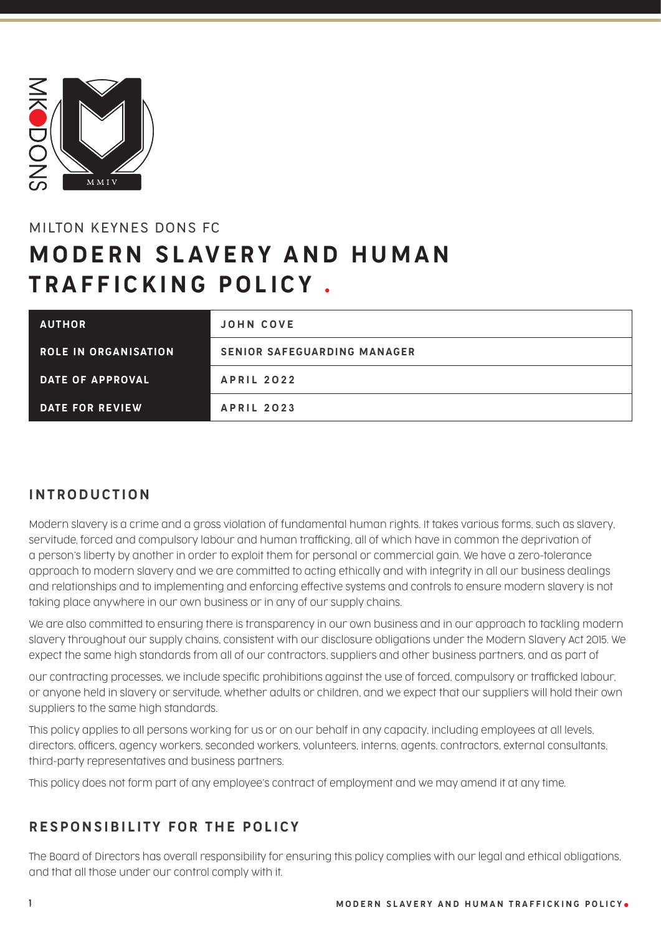

# MILTON KEYNES DONS FC **MODERN SLAVERY AND HUMAN** TRAFFICKING POLICY .

| <b>AUTHOR</b>               | <b>JOHN COVE</b>                   |
|-----------------------------|------------------------------------|
| <b>ROLE IN ORGANISATION</b> | <b>SENIOR SAFEGUARDING MANAGER</b> |
| DATE OF APPROVAL            | <b>APRIL 2022</b>                  |
| DATE FOR REVIEW             | <b>APRIL 2023</b>                  |

#### INTRODUCTION

Modern slavery is a crime and a gross violation of fundamental human rights. It takes various forms, such as slavery, servitude, forced and compulsory labour and human trafficking, all of which have in common the deprivation of a person's liberty by another in order to exploit them for personal or commercial gain. We have a zero-tolerance approach to modern slavery and we are committed to acting ethically and with integrity in all our business dealings and relationships and to implementing and enforcing effective systems and controls to ensure modern slavery is not taking place anywhere in our own business or in any of our supply chains.

We are also committed to ensuring there is transparency in our own business and in our approach to tackling modern slavery throughout our supply chains, consistent with our disclosure obligations under the Modern Slavery Act 2015. We expect the same high standards from all of our contractors, suppliers and other business partners, and as part of

our contracting processes, we include specific prohibitions against the use of forced, compulsory or trafficked labour, or anyone held in slavery or servitude, whether adults or children, and we expect that our suppliers will hold their own suppliers to the same high standards.

This policy applies to all persons working for us or on our behalf in any capacity, including employees at all levels, directors, officers, agency workers, seconded workers, volunteers, interns, agents, contractors, external consultants, third-party representatives and business partners.

This policy does not form part of any employee's contract of employment and we may amend it at any time.

#### RESPONSIBILITY FOR THE POLICY

The Board of Directors has overall responsibility for ensuring this policy complies with our legal and ethical obligations, and that all those under our control comply with it.